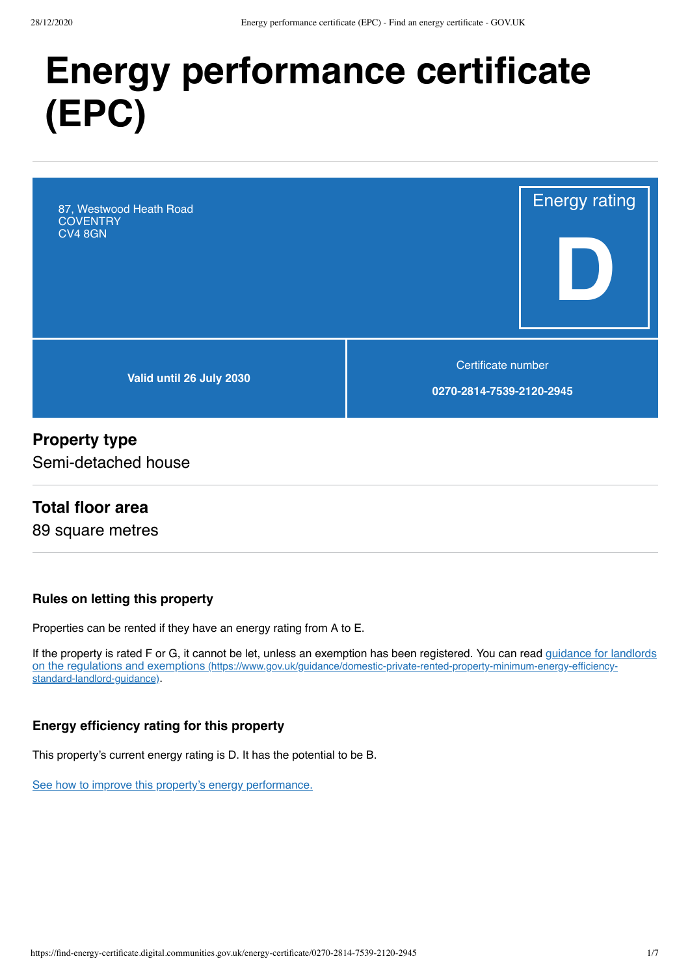# **Energy performance certificate (EPC)**

87, Westwood Heath Road **COVENTRY** CV4 8GN

**Valid until 26 July 2030**

Certificate number

Energy rating

**D**

**0270-2814-7539-2120-2945**

#### **Property type**

Semi-detached house

#### **Total floor area**

89 square metres

#### **Rules on letting this property**

Properties can be rented if they have an energy rating from A to E.

[If the property is rated F or G, it cannot be let, unless an exemption has been registered. You can read guidance for landlords](https://www.gov.uk/guidance/domestic-private-rented-property-minimum-energy-efficiency-standard-landlord-guidance) on the regulations and exemptions (https://www.gov.uk/guidance/domestic-private-rented-property-minimum-energy-efficiencystandard-landlord-guidance).

#### **Energy efficiency rating for this property**

This property's current energy rating is D. It has the potential to be B.

[See how to improve this property's energy performance.](#page-3-0)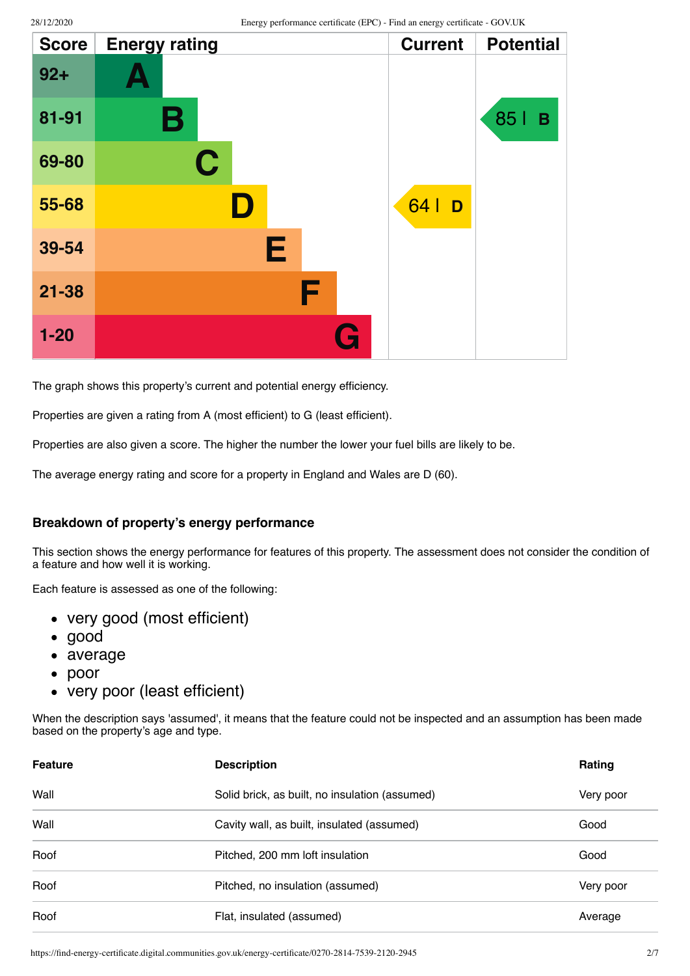| <b>Score</b> | <b>Energy rating</b> | <b>Current</b> | <b>Potential</b> |
|--------------|----------------------|----------------|------------------|
| $92 +$       | $\Delta$             |                |                  |
| 81-91        | В                    |                | 85  <br>B        |
| 69-80        | $\mathbf C$          |                |                  |
| 55-68        | D                    | 64   D         |                  |
| 39-54        | Е                    |                |                  |
| $21 - 38$    | F                    |                |                  |
| $1 - 20$     | G                    |                |                  |

The graph shows this property's current and potential energy efficiency.

Properties are given a rating from A (most efficient) to G (least efficient).

Properties are also given a score. The higher the number the lower your fuel bills are likely to be.

The average energy rating and score for a property in England and Wales are D (60).

#### **Breakdown of property's energy performance**

This section shows the energy performance for features of this property. The assessment does not consider the condition of a feature and how well it is working.

Each feature is assessed as one of the following:

- very good (most efficient)
- good
- average
- $\bullet$ poor
- very poor (least efficient)

When the description says 'assumed', it means that the feature could not be inspected and an assumption has been made based on the property's age and type.

| <b>Feature</b> | <b>Description</b>                             | Rating    |
|----------------|------------------------------------------------|-----------|
| Wall           | Solid brick, as built, no insulation (assumed) | Very poor |
| Wall           | Cavity wall, as built, insulated (assumed)     | Good      |
| Roof           | Pitched, 200 mm loft insulation                | Good      |
| Roof           | Pitched, no insulation (assumed)               | Very poor |
| Roof           | Flat, insulated (assumed)                      | Average   |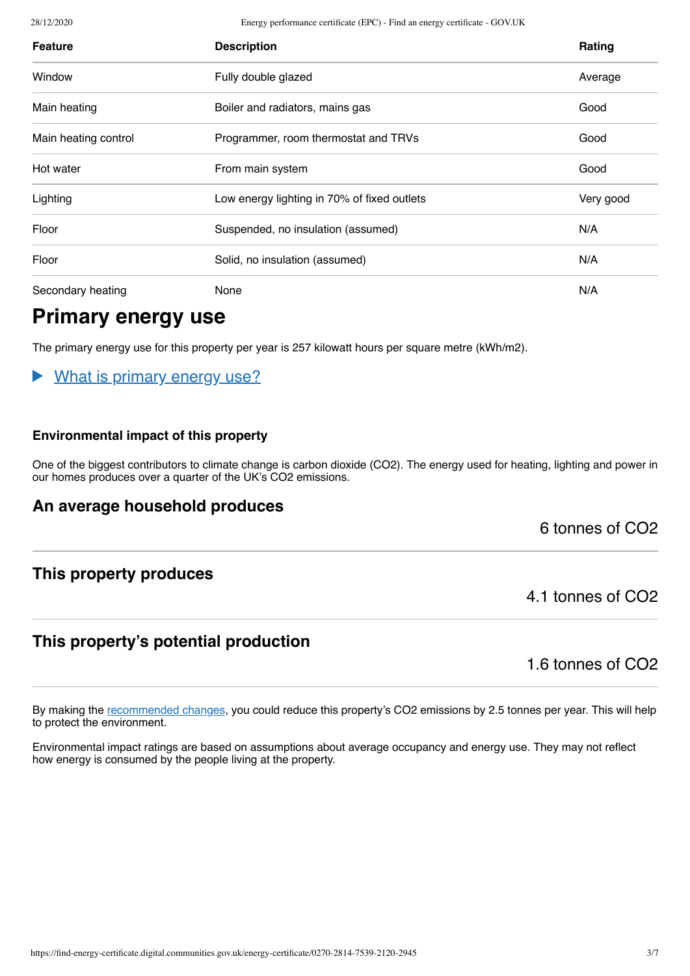28/12/2020 Energy performance certificate (EPC) - Find an energy certificate - GOV.UK

| <b>Feature</b>       | <b>Description</b>                          | Rating    |
|----------------------|---------------------------------------------|-----------|
| Window               | Fully double glazed                         | Average   |
| Main heating         | Boiler and radiators, mains gas             | Good      |
| Main heating control | Programmer, room thermostat and TRVs        | Good      |
| Hot water            | From main system                            | Good      |
| Lighting             | Low energy lighting in 70% of fixed outlets | Very good |
| Floor                | Suspended, no insulation (assumed)          | N/A       |
| Floor                | Solid, no insulation (assumed)              | N/A       |
| Secondary heating    | None                                        | N/A       |

## **Primary energy use**

The primary energy use for this property per year is 257 kilowatt hours per square metre (kWh/m2).

#### What is primary energy use?  $\blacktriangleright$

#### **Environmental impact of this property**

One of the biggest contributors to climate change is carbon dioxide (CO2). The energy used for heating, lighting and power in our homes produces over a quarter of the UK's CO2 emissions.

#### **An average household produces**

6 tonnes of CO2

#### **This property produces**

#### 4.1 tonnes of CO2

#### **This property's potential production**

1.6 tonnes of CO2

By making the [recommended changes](#page-3-0), you could reduce this property's CO2 emissions by 2.5 tonnes per year. This will help to protect the environment.

Environmental impact ratings are based on assumptions about average occupancy and energy use. They may not reflect how energy is consumed by the people living at the property.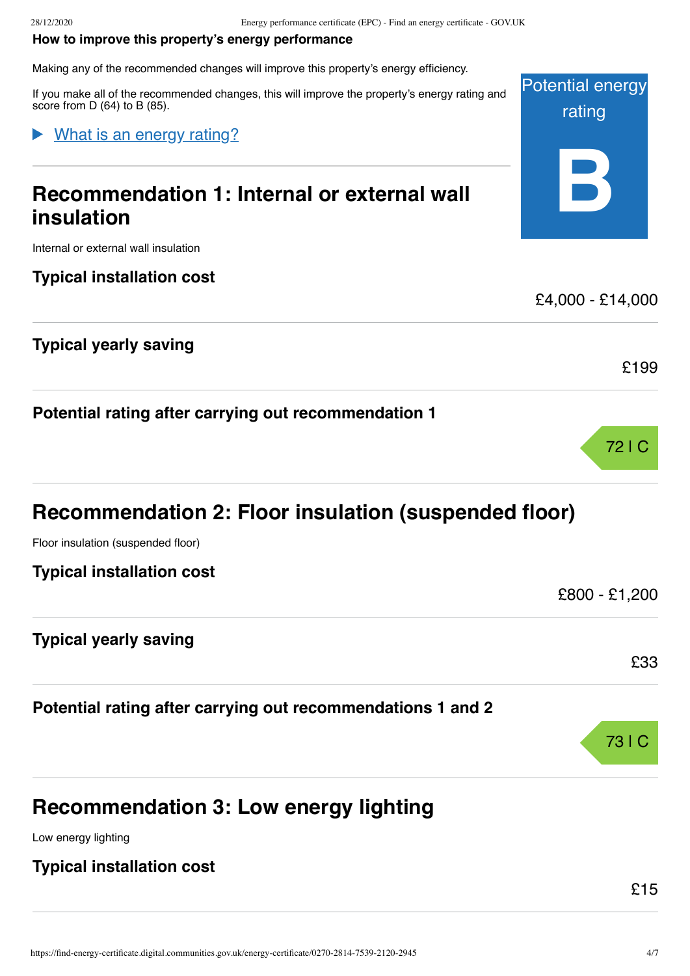#### <span id="page-3-0"></span>**How to improve this property's energy performance**

Making any of the recommended changes will improve this property's energy efficiency.

If you make all of the recommended changes, this will improve the property's energy rating and score from D (64) to B (85).

#### What is an energy rating?

## **Recommendation 1: Internal or external wall insulation**

Internal or external wall insulation

#### **Typical installation cost**

#### **Typical yearly saving**

**Potential rating after carrying out recommendation 1**

| Recommendation 2: Floor insulation (suspended floor) |  |  |  |  |
|------------------------------------------------------|--|--|--|--|
|------------------------------------------------------|--|--|--|--|

Floor insulation (suspended floor)

|  | <b>Typical installation cost</b> |  |
|--|----------------------------------|--|
|--|----------------------------------|--|

#### **Typical yearly saving**

**Potential rating after carrying out recommendations 1 and 2**

## **Recommendation 3: Low energy lighting**

Low energy lighting

#### **Typical installation cost**



£4,000 - £14,000



£199



£33

£800 - £1,200

#### £15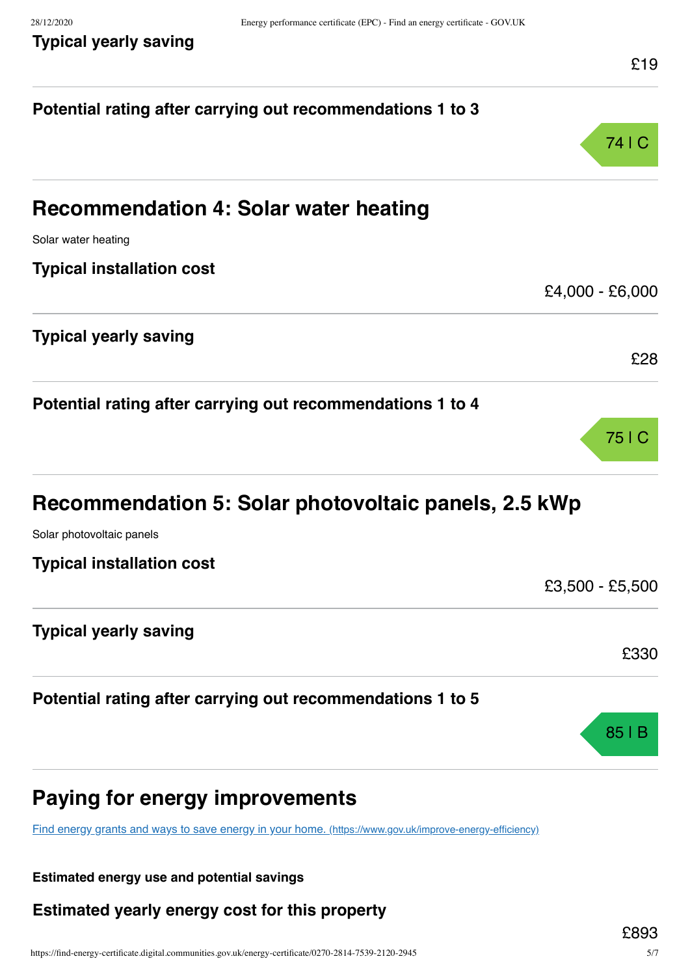| Potential rating after carrying out recommendations 1 to 3                                              |                 |
|---------------------------------------------------------------------------------------------------------|-----------------|
|                                                                                                         | 74   C          |
| <b>Recommendation 4: Solar water heating</b>                                                            |                 |
| Solar water heating                                                                                     |                 |
| <b>Typical installation cost</b>                                                                        |                 |
|                                                                                                         | £4,000 - £6,000 |
| <b>Typical yearly saving</b>                                                                            |                 |
|                                                                                                         | £28             |
| Potential rating after carrying out recommendations 1 to 4                                              |                 |
|                                                                                                         | 75   C          |
| Recommendation 5: Solar photovoltaic panels, 2.5 kWp                                                    |                 |
| Solar photovoltaic panels                                                                               |                 |
| <b>Typical installation cost</b>                                                                        |                 |
|                                                                                                         | £3,500 - £5,500 |
| <b>Typical yearly saving</b>                                                                            |                 |
|                                                                                                         | £330            |
| Potential rating after carrying out recommendations 1 to 5                                              |                 |
|                                                                                                         | 85              |
| Paying for energy improvements                                                                          |                 |
| Find energy grants and ways to save energy in your home. (https://www.gov.uk/improve-energy-efficiency) |                 |

**Estimated energy use and potential savings**

**Estimated yearly energy cost for this property**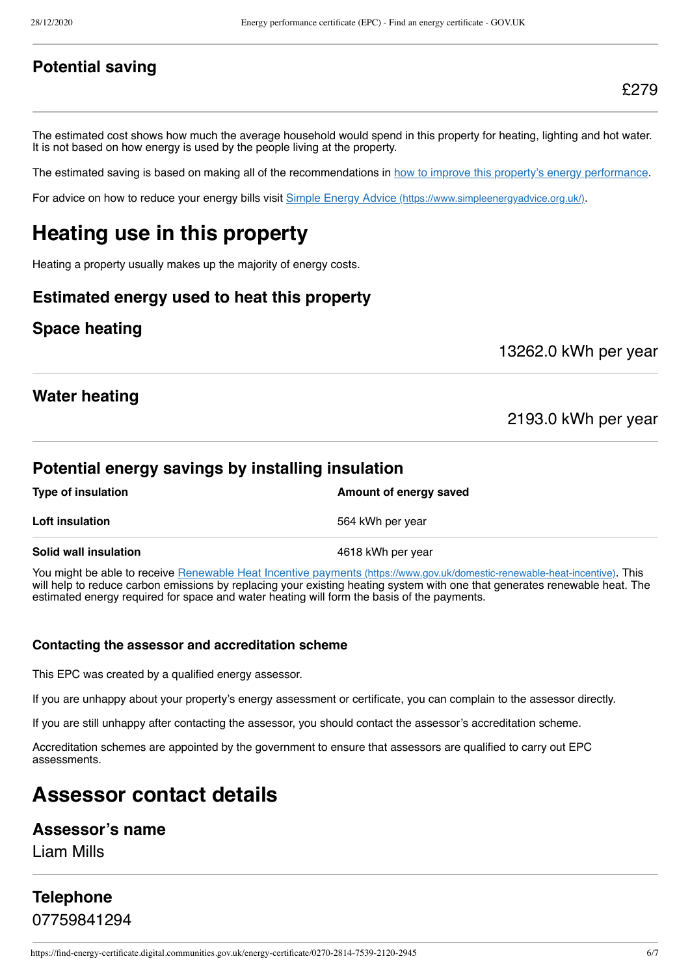#### **Potential saving**

The estimated cost shows how much the average household would spend in this property for heating, lighting and hot water. It is not based on how energy is used by the people living at the property.

The estimated saving is based on making all of the recommendations in [how to improve this property's energy performance.](#page-3-0)

For advice on how to reduce your energy bills visit Simple Energy Advice [\(https://www.simpleenergyadvice.org.uk/\)](https://www.simpleenergyadvice.org.uk/).

## **Heating use in this property**

Heating a property usually makes up the majority of energy costs.

#### **Estimated energy used to heat this property**

#### **Space heating**

13262.0 kWh per year

#### **Water heating**

2193.0 kWh per year

#### **Potential energy savings by installing insulation**

| Type of insulation           | Amount of energy saved |
|------------------------------|------------------------|
| <b>Loft insulation</b>       | 564 kWh per year       |
| <b>Solid wall insulation</b> | 4618 kWh per year      |

You might be able to receive Renewable Heat Incentive payments [\(https://www.gov.uk/domestic-renewable-heat-incentive\)](https://www.gov.uk/domestic-renewable-heat-incentive). This will help to reduce carbon emissions by replacing your existing heating system with one that generates renewable heat. The estimated energy required for space and water heating will form the basis of the payments.

#### **Contacting the assessor and accreditation scheme**

This EPC was created by a qualified energy assessor.

If you are unhappy about your property's energy assessment or certificate, you can complain to the assessor directly.

If you are still unhappy after contacting the assessor, you should contact the assessor's accreditation scheme.

Accreditation schemes are appointed by the government to ensure that assessors are qualified to carry out EPC assessments.

## **Assessor contact details**

#### **Assessor's name**

Liam Mills

## **Telephone** 07759841294